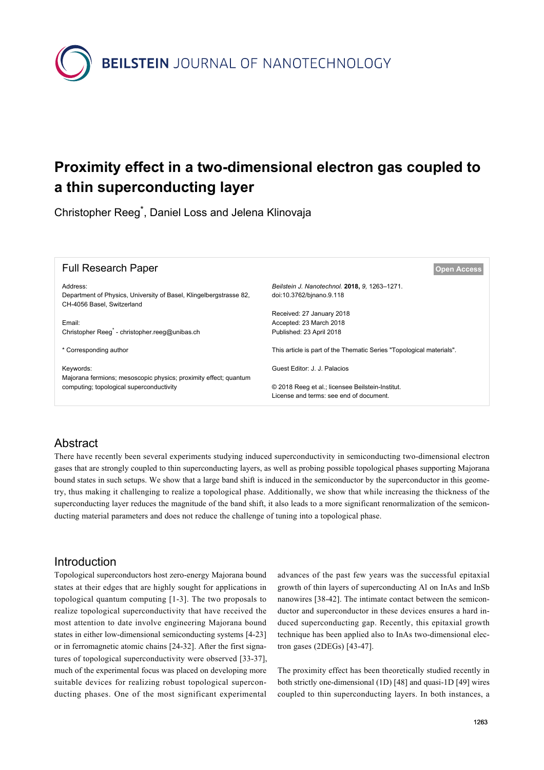

# **Proximity effect in a two-dimensional electron gas coupled to a thin superconducting layer**

Christopher Reeg\* , Daniel Loss and Jelena Klinovaja

| <b>Full Research Paper</b>                                                                                   | <b>Open Access</b>                                                        |
|--------------------------------------------------------------------------------------------------------------|---------------------------------------------------------------------------|
| Address:<br>Department of Physics, University of Basel, Klingelbergstrasse 82,<br>CH-4056 Basel, Switzerland | Beilstein J. Nanotechnol. 2018, 9. 1263-1271.<br>doi:10.3762/binano.9.118 |
|                                                                                                              | Received: 27 January 2018                                                 |
| Email:<br>Christopher Reeq <sup>*</sup> - christopher.reeq@unibas.ch                                         | Accepted: 23 March 2018<br>Published: 23 April 2018                       |
|                                                                                                              |                                                                           |
| * Corresponding author                                                                                       | This article is part of the Thematic Series "Topological materials".      |
| Keywords:<br>Majorana fermions; mesoscopic physics; proximity effect; quantum                                | Guest Editor: J. J. Palacios                                              |
| computing; topological superconductivity                                                                     | © 2018 Reeg et al.; licensee Beilstein-Institut.                          |
|                                                                                                              | License and terms: see end of document.                                   |

# Abstract

There have recently been several experiments studying induced superconductivity in semiconducting two-dimensional electron gases that are strongly coupled to thin superconducting layers, as well as probing possible topological phases supporting Majorana bound states in such setups. We show that a large band shift is induced in the semiconductor by the superconductor in this geometry, thus making it challenging to realize a topological phase. Additionally, we show that while increasing the thickness of the superconducting layer reduces the magnitude of the band shift, it also leads to a more significant renormalization of the semiconducting material parameters and does not reduce the challenge of tuning into a topological phase.

## Introduction

Topological superconductors host zero-energy Majorana bound states at their edges that are highly sought for applications in topological quantum computing [\[1-3\]](#page-6-0). The two proposals to realize topological superconductivity that have received the most attention to date involve engineering Majorana bound states in either low-dimensional semiconducting systems [\[4-23\]](#page-6-1) or in ferromagnetic atomic chains [\[24-32\]](#page-7-0). After the first signatures of topological superconductivity were observed [\[33-37\]](#page-7-1), much of the experimental focus was placed on developing more suitable devices for realizing robust topological superconducting phases. One of the most significant experimental

advances of the past few years was the successful epitaxial growth of thin layers of superconducting Al on InAs and InSb nanowires [\[38-42\]](#page-7-2). The intimate contact between the semiconductor and superconductor in these devices ensures a hard induced superconducting gap. Recently, this epitaxial growth technique has been applied also to InAs two-dimensional electron gases (2DEGs) [\[43-47\]](#page-7-3).

The proximity effect has been theoretically studied recently in both strictly one-dimensional (1D) [\[48\]](#page-7-4) and quasi-1D [\[49\]](#page-7-5) wires coupled to thin superconducting layers. In both instances, a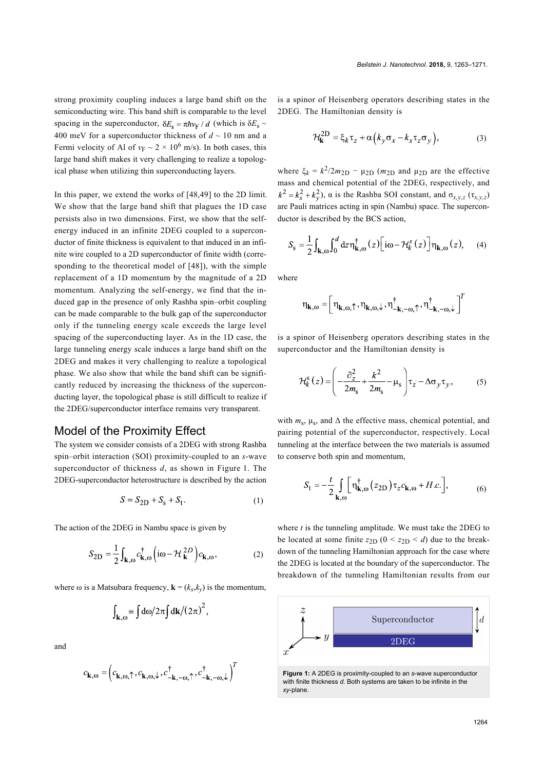strong proximity coupling induces a large band shift on the semiconducting wire. This band shift is comparable to the level spacing in the superconductor,  $\delta E_s = \pi \hbar v_F / d$  (which is  $\delta E_s \sim$ 400 meV for a superconductor thickness of  $d \sim 10$  nm and a Fermi velocity of Al of  $v_F \sim 2 \times 10^6$  m/s). In both cases, this large band shift makes it very challenging to realize a topological phase when utilizing thin superconducting layers.

In this paper, we extend the works of [\[48,49\]](#page-7-4) to the 2D limit. We show that the large band shift that plagues the 1D case persists also in two dimensions. First, we show that the selfenergy induced in an infinite 2DEG coupled to a superconductor of finite thickness is equivalent to that induced in an infinite wire coupled to a 2D superconductor of finite width (corresponding to the theoretical model of [\[48\]\)](#page-7-4), with the simple replacement of a 1D momentum by the magnitude of a 2D momentum. Analyzing the self-energy, we find that the induced gap in the presence of only Rashba spin–orbit coupling can be made comparable to the bulk gap of the superconductor only if the tunneling energy scale exceeds the large level spacing of the superconducting layer. As in the 1D case, the large tunneling energy scale induces a large band shift on the 2DEG and makes it very challenging to realize a topological phase. We also show that while the band shift can be significantly reduced by increasing the thickness of the superconducting layer, the topological phase is still difficult to realize if the 2DEG/superconductor interface remains very transparent.

#### Model of the Proximity Effect

The system we consider consists of a 2DEG with strong Rashba spin–orbit interaction (SOI) proximity-coupled to an *s*-wave superconductor of thickness *d*, as shown in [Figure 1](#page-1-0). The 2DEG-superconductor heterostructure is described by the action

$$
S = S_{2D} + S_s + S_t. \tag{1}
$$

The action of the 2DEG in Nambu space is given by

$$
S_{2D} = \frac{1}{2} \int_{\mathbf{k},\omega} c_{\mathbf{k},\omega}^{\dagger} \left( i\omega - \mathcal{H}_{\mathbf{k}}^{2D} \right) c_{\mathbf{k},\omega},\tag{2}
$$

where  $\omega$  is a Matsubara frequency,  $\mathbf{k} = (k_x, k_y)$  is the momentum,

$$
\int_{\mathbf{k},\omega} \equiv \int d\omega/2\pi \int d\mathbf{k}/(2\pi)^2,
$$

and

$$
c_{\mathbf{k},\omega} = \left(c_{\mathbf{k},\omega,\uparrow}, c_{\mathbf{k},\omega,\downarrow}, c^{\dagger}_{-\mathbf{k},-\omega,\uparrow}, c^{\dagger}_{-\mathbf{k},-\omega,\downarrow}\right)^{T}
$$

is a spinor of Heisenberg operators describing states in the 2DEG. The Hamiltonian density is

$$
\mathcal{H}_{\mathbf{k}}^{2D} = \xi_k \tau_z + \alpha \left( k_y \sigma_x - k_x \tau_z \sigma_y \right),\tag{3}
$$

where  $\xi_k = k^2/2m_{2D} - \mu_{2D}$  ( $m_{2D}$  and  $\mu_{2D}$  are the effective mass and chemical potential of the 2DEG, respectively, and  $k^2 = k_x^2 + k_y^2$ ,  $\alpha$  is the Rashba SOI constant, and  $\sigma_{x,y,z}$  ( $\tau_{x,y,z}$ ) are Pauli matrices acting in spin (Nambu) space. The superconductor is described by the BCS action,

$$
S_{\rm s} = \frac{1}{2} \int_{\mathbf{k},\omega} \int_0^d dz \, \eta_{\mathbf{k},\omega}^{\dagger}(z) \Big[ i\omega - \mathcal{H}_k^s(z) \Big] \eta_{\mathbf{k},\omega}(z), \quad (4)
$$

where

$$
\boldsymbol{\eta}_{k,\omega} = \left[\eta_{k,\omega,\uparrow},\eta_{k,\omega,\downarrow},\eta_{-k,-\omega,\uparrow}^{\dagger},\eta_{-k,-\omega,\downarrow}^{\dagger}\right]
$$

is a spinor of Heisenberg operators describing states in the superconductor and the Hamiltonian density is

$$
\mathcal{H}_{k}^{s}(z) = \left(-\frac{\partial_z^2}{2m_s} + \frac{k^2}{2m_s} - \mu_s\right)\tau_z - \Delta\sigma_y\tau_y, \qquad (5)
$$

with  $m_s$ ,  $\mu_s$ , and  $\Delta$  the effective mass, chemical potential, and pairing potential of the superconductor, respectively. Local tunneling at the interface between the two materials is assumed to conserve both spin and momentum,

<span id="page-1-1"></span>
$$
S_{\rm t} = -\frac{t}{2} \int_{\mathbf{k},\omega} \left[ \eta_{\mathbf{k},\omega}^{\dagger} \left( z_{2\mathrm{D}} \right) \tau_z c_{\mathbf{k},\omega} + H.c. \right],\tag{6}
$$

where *t* is the tunneling amplitude. We must take the 2DEG to be located at some finite  $z_{2D}$  ( $0 < z_{2D} < d$ ) due to the breakdown of the tunneling Hamiltonian approach for the case where the 2DEG is located at the boundary of the superconductor. The breakdown of the tunneling Hamiltonian results from our

<span id="page-1-0"></span>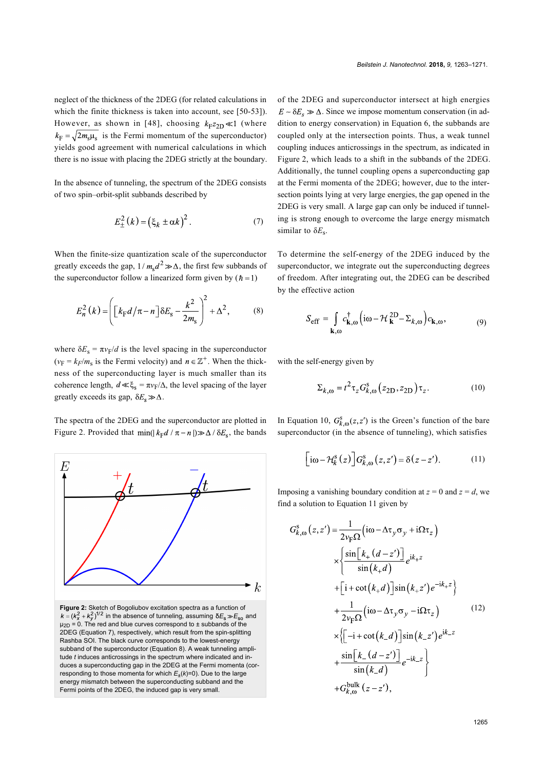neglect of the thickness of the 2DEG (for related calculations in which the finite thickness is taken into account, see [\[50-53\]\)](#page-7-6). However, as shown in [\[48\]](#page-7-4), choosing  $k_{F}z_{2D} \ll 1$  (where  $k_{\rm F} = \sqrt{2m_{\rm s}\mu_{\rm s}}$  is the Fermi momentum of the superconductor) yields good agreement with numerical calculations in which there is no issue with placing the 2DEG strictly at the boundary.

In the absence of tunneling, the spectrum of the 2DEG consists of two spin–orbit-split subbands described by

<span id="page-2-0"></span>
$$
E_{\pm}^{2}(k) = \left(\xi_{k} \pm \alpha k\right)^{2}.
$$
 (7)

When the finite-size quantization scale of the superconductor greatly exceeds the gap,  $1/m_s d^2 \gg \Delta$ , the first few subbands of the superconductor follow a linearized form given by  $(h = 1)$ 

<span id="page-2-1"></span>
$$
E_n^2(k) = \left( \left[ k_{\rm F} d / \pi - n \right] \delta E_{\rm s} - \frac{k^2}{2m_{\rm s}} \right)^2 + \Delta^2, \tag{8}
$$

where  $\delta E_s = \pi v_F/d$  is the level spacing in the superconductor  $(v_F = k_F/m_s$  is the Fermi velocity) and  $n \in \mathbb{Z}^+$ . When the thickness of the superconducting layer is much smaller than its coherence length,  $d \ll \xi_s = \pi v_F/\Delta$ , the level spacing of the layer greatly exceeds its gap,  $\delta E_s \gg \Delta$ .

The spectra of the 2DEG and the superconductor are plotted in [Figure 2.](#page-2-2) Provided that  $\min(|k_F d / \pi - n|) \gg \Delta / \delta E_s$ , the bands

<span id="page-2-2"></span>

**Figure 2:** Sketch of Bogoliubov excitation spectra as a function of  $k = (k_x^2 + k_y^2)^{1/2}$  in the absence of tunneling, assuming  $\delta E_s \gg E_{so}$  and  $\mu_{2D}$  = 0. The red and blue curves correspond to  $\pm$  subbands of the 2DEG ([Equation 7](#page-2-0)), respectively, which result from the spin-splitting Rashba SOI. The black curve corresponds to the lowest-energy subband of the superconductor [\(Equation 8\)](#page-2-1). A weak tunneling amplitude *t* induces anticrossings in the spectrum where indicated and induces a superconducting gap in the 2DEG at the Fermi momenta (corresponding to those momenta for which  $E_{\pm}(k)=0$ ). Due to the large energy mismatch between the superconducting subband and the Fermi points of the 2DEG, the induced gap is very small.

of the 2DEG and superconductor intersect at high energies  $E \sim \delta E_s \gg \Delta$ . Since we impose momentum conservation (in addition to energy conservation) in [Equation 6](#page-1-1), the subbands are coupled only at the intersection points. Thus, a weak tunnel coupling induces anticrossings in the spectrum, as indicated in [Figure 2](#page-2-2), which leads to a shift in the subbands of the 2DEG. Additionally, the tunnel coupling opens a superconducting gap at the Fermi momenta of the 2DEG; however, due to the intersection points lying at very large energies, the gap opened in the 2DEG is very small. A large gap can only be induced if tunneling is strong enough to overcome the large energy mismatch similar to δ*E*<sup>s</sup> .

To determine the self-energy of the 2DEG induced by the superconductor, we integrate out the superconducting degrees of freedom. After integrating out, the 2DEG can be described by the effective action

$$
S_{\text{eff}} = \int_{\mathbf{k},\omega} c_{\mathbf{k},\omega}^{\dagger} \left( i\omega - \mathcal{H}_{\mathbf{k}}^{2\mathbf{D}} - \Sigma_{k,\omega} \right) c_{\mathbf{k},\omega},\tag{9}
$$

with the self-energy given by

<span id="page-2-3"></span>
$$
\Sigma_{k, \omega} = t^2 \tau_z G_{k, \omega}^s (z_{2D}, z_{2D}) \tau_z.
$$
 (10)

In [Equation 10](#page-2-3),  $G_{k,\omega}^{s}(z, z')$  is the Green's function of the bare superconductor (in the absence of tunneling), which satisfies

<span id="page-2-4"></span>
$$
\left[\mathrm{i}\omega - \mathcal{H}_k^{\mathrm{s}}(z)\right] G_{k,\omega}^{\mathrm{s}}(z, z') = \delta(z - z').\tag{11}
$$

Imposing a vanishing boundary condition at  $z = 0$  and  $z = d$ , we find a solution to [Equation 11](#page-2-4) given by

<span id="page-2-5"></span>
$$
G_{k,\omega}^{s}(z,z') = \frac{1}{2v_{F}\Omega} \left( i\omega - \Delta\tau_{y}\sigma_{y} + i\Omega\tau_{z} \right)
$$
  
\n
$$
\times \left\{ \frac{\sin[k_{+}(d-z')] }{\sin(k_{+}d)} e^{ik_{+}z} + \left[ i + \cot(k_{+}d) \right] \sin(k_{+}z') e^{-ik_{+}z} \right\}
$$
  
\n
$$
+ \frac{1}{2v_{F}\Omega} \left( i\omega - \Delta\tau_{y}\sigma_{y} - i\Omega\tau_{z} \right)
$$
  
\n
$$
\times \left\{ \left[ -i + \cot(k_{-}d) \right] \sin(k_{-}z') e^{ik_{-}z} + \frac{\sin[k_{-}(d-z')] }{\sin(k_{-}d)} e^{-ik_{-}z} \right\}
$$
  
\n
$$
+ G_{k,\omega}^{\text{bulk}}(z-z'),
$$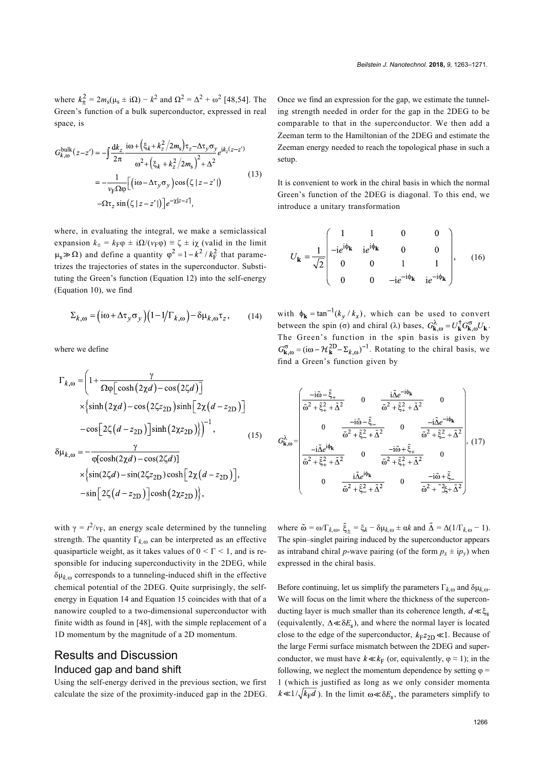where  $k_{\pm}^2 = 2m_s(\mu_s \pm i\Omega) - k^2$  and  $\Omega^2 = \Delta^2 + \omega^2$  [\[48,54\]](#page-7-4). The Green's function of a bulk superconductor, expressed in real space, is

<span id="page-3-3"></span>
$$
G_{k,\omega}^{\text{bulk}}(z-z') = -\int \frac{dk_z}{2\pi} \frac{i\omega + (\xi_k + k_z^2/2m_s)\tau_z - \Delta\tau_y \sigma_y}{\omega^2 + (\xi_k + k_z^2/2m_s)^2 + \Delta^2}
$$
  
= 
$$
-\frac{1}{\nu_{\text{F}}\Omega\varphi} \Big[ (i\omega - \Delta\tau_y \sigma_y) \cos(\zeta | z - z') \Big]
$$
(13)  
-
$$
\Omega\tau_z \sin(\zeta | z - z') \Big] e^{-\chi | z - z'|},
$$

where, in evaluating the integral, we make a semiclassical expansion  $k_{\pm} = k_{\text{F}}\varphi \pm i\Omega/(v_{\text{F}}\varphi) \equiv \zeta \pm i\chi$  (valid in the limit  $\mu_s \gg \Omega$ ) and define a quantity  $\varphi^2 = 1 - k^2 / k_F^2$  that parametrizes the trajectories of states in the superconductor. Substituting the Green's function [\(Equation 12](#page-2-5)) into the self-energy ([Equation 10\)](#page-2-3), we find

<span id="page-3-0"></span>
$$
\Sigma_{k,\omega} = \left( i\omega + \Delta \tau_y \sigma_y \right) \left( 1 - 1/\Gamma_{k,\omega} \right) - \delta \mu_{k,\omega} \tau_z, \quad (14)
$$

where we define

<span id="page-3-1"></span>
$$
\Gamma_{k,\omega} = \left(1 + \frac{\gamma}{\Omega \varphi \left[\cosh\left(2\chi d\right) - \cos\left(2\zeta d\right)\right]}\right)
$$

$$
\times \left\{\sinh\left(2\chi d\right) - \cos\left(2\zeta z_{\text{2D}}\right)\sinh\left[2\chi\left(d - z_{\text{2D}}\right)\right]\right\}
$$

$$
-\cos\left[2\zeta\left(d - z_{\text{2D}}\right)\right]\sinh\left(2\chi z_{\text{2D}}\right)\right\}^{-1},\tag{15}
$$

$$
\begin{aligned}\n&\ast \text{A}, \text{so} \quad \varphi[\cosh(2\chi d) - \cos(2\zeta d)] \\
&\times \left\{ \sin(2\zeta d) - \sin(2\zeta z_{2D}) \cosh\left[2\chi \left(d - z_{2D}\right)\right], -\sin\left[2\zeta \left(d - z_{2D}\right)\right] \cosh\left(2\chi z_{2D}\right) \right\},\n\end{aligned}
$$

with  $\gamma = t^2/v_F$ , an energy scale determined by the tunneling strength. The quantity  $\Gamma_{k,\omega}$  can be interpreted as an effective quasiparticle weight, as it takes values of 0 *<* Γ *<* 1, and is responsible for inducing superconductivity in the 2DEG, while  $\delta \mu_{k,\omega}$  corresponds to a tunneling-induced shift in the effective chemical potential of the 2DEG. Quite surprisingly, the selfenergy in [Equation 14](#page-3-0) and [Equation 15](#page-3-1) coincides with that of a nanowire coupled to a two-dimensional superconductor with finite width as found in [\[48\],](#page-7-4) with the simple replacement of a 1D momentum by the magnitude of a 2D momentum.

#### Results and Discussion Induced gap and band shift

Using the self-energy derived in the previous section, we first calculate the size of the proximity-induced gap in the 2DEG. Once we find an expression for the gap, we estimate the tunneling strength needed in order for the gap in the 2DEG to be comparable to that in the superconductor. We then add a Zeeman term to the Hamiltonian of the 2DEG and estimate the Zeeman energy needed to reach the topological phase in such a setup.

It is convenient to work in the chiral basis in which the normal Green's function of the 2DEG is diagonal. To this end, we introduce a unitary transformation

$$
U_{\mathbf{k}} = \frac{1}{\sqrt{2}} \begin{pmatrix} 1 & 1 & 0 & 0 \\ -ie^{i\phi_{\mathbf{k}}} & ie^{i\phi_{\mathbf{k}}} & 0 & 0 \\ 0 & 0 & 1 & 1 \\ 0 & 0 & -ie^{-i\phi_{\mathbf{k}}} & ie^{-i\phi_{\mathbf{k}}} \end{pmatrix}, \quad (16)
$$

with  $\phi_{\mathbf{k}} = \tan^{-1}(k_y / k_x)$ , which can be used to convert between the spin (σ) and chiral (λ) bases,  $G_{\mathbf{k},\omega}^{\lambda} = U_{\mathbf{k}}^{\dagger} G_{\mathbf{k},\omega}^{\sigma} U_{\mathbf{k}}$ . The Green's function in the spin basis is given by  $G_{\mathbf{k},\omega}^{\sigma} = (\mathrm{i}\omega - \mathcal{H}_{\mathbf{k}}^{\mathrm{2D}} - \Sigma_{k,\omega})^{-1}$ . Rotating to the chiral basis, we find a Green's function given by

<span id="page-3-2"></span>
$$
G_{\mathbf{k},\omega}^{\lambda} = \begin{pmatrix}\n-\mathrm{i}\tilde{\omega} - \tilde{\xi}_{+} & 0 & \frac{\mathrm{i}\tilde{\Delta}e^{-\mathrm{i}\varphi_{\mathbf{k}}}}{\tilde{\omega}^{2} + \tilde{\xi}_{+}^{2} + \tilde{\Delta}^{2}} & 0 \\
0 & -\mathrm{i}\tilde{\omega} - \tilde{\xi}_{-} & 0 & -\mathrm{i}\tilde{\Delta}e^{-\mathrm{i}\varphi_{\mathbf{k}}} \\
0 & \frac{-\mathrm{i}\tilde{\omega} - \tilde{\xi}_{-}^{2}}{\tilde{\omega}^{2} + \tilde{\xi}_{-}^{2} + \tilde{\Delta}^{2}} & 0 & \frac{-\mathrm{i}\tilde{\Delta}e^{-\mathrm{i}\varphi_{\mathbf{k}}}}{\tilde{\omega}^{2} + \tilde{\xi}_{-}^{2} + \tilde{\Delta}^{2}} \\
\frac{-\mathrm{i}\tilde{\Delta}e^{\mathrm{i}\varphi_{\mathbf{k}}}}{\tilde{\omega}^{2} + \tilde{\xi}_{+}^{2} + \tilde{\Delta}^{2}} & 0 & \frac{-\mathrm{i}\tilde{\omega} + \tilde{\xi}_{+}^{2}}{\tilde{\omega}^{2} + \tilde{\xi}_{+}^{2} + \tilde{\Delta}^{2}} & 0 \\
0 & \frac{\mathrm{i}\tilde{\Delta}e^{\mathrm{i}\varphi_{\mathbf{k}}}}{\tilde{\omega}^{2} + \tilde{\xi}_{-}^{2} + \tilde{\Delta}^{2}} & 0 & \frac{-\mathrm{i}\tilde{\omega} + \tilde{\xi}_{-}^{2}}{\tilde{\omega}^{2} + \tilde{\lambda}_{-}^{2} + \tilde{\Delta}^{2}}\n\end{pmatrix}, (17)
$$

where  $\tilde{\omega} = \omega/\Gamma_{k, \omega}$ ,  $\tilde{\xi}_{\pm} = \xi_k - \delta \mu_{k, \omega} \pm \alpha k$  and  $\tilde{\Delta} = \Delta(1/\Gamma_{k, \omega} - 1)$ . The spin–singlet pairing induced by the superconductor appears as intraband chiral *p*-wave pairing (of the form  $p_x \pm i p_y$ ) when expressed in the chiral basis.

Before continuing, let us simplify the parameters  $\Gamma_{k,\omega}$  and  $\delta \mu_{k,\omega}$ . We will focus on the limit where the thickness of the superconducting layer is much smaller than its coherence length,  $d \ll \xi_s$ (equivalently,  $\Delta \ll \delta E_s$ ), and where the normal layer is located close to the edge of the superconductor,  $k_{\text{F}}z_{2\text{D}} \ll 1$ . Because of the large Fermi surface mismatch between the 2DEG and superconductor, we must have  $k \ll k_F$  (or, equivalently,  $\varphi \approx 1$ ); in the following, we neglect the momentum dependence by setting  $\varphi$  = 1 (which is justified as long as we only consider momenta  $k \ll 1/\sqrt{k_F}d$ ). In the limit  $\omega \ll \delta E_s$ , the parameters simplify to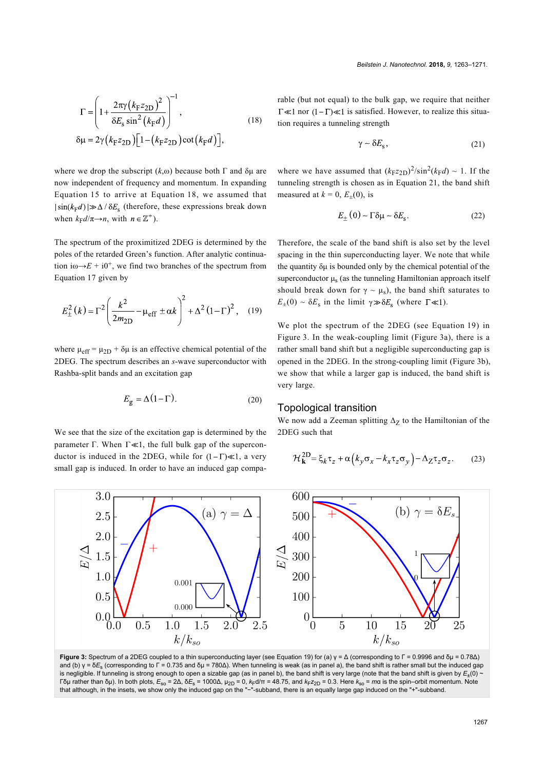<span id="page-4-1"></span>
$$
\Gamma = \left(1 + \frac{2\pi\gamma (k_{\rm F}z_{2\rm D})^2}{\delta E_{\rm s} \sin^2 (k_{\rm F}d)}\right)^{-1},
$$
\n
$$
\delta \mu = 2\gamma (k_{\rm F}z_{2\rm D}) \left[1 - (k_{\rm F}z_{2\rm D}) \cot (k_{\rm F}d)\right],
$$
\n(18)

where we drop the subscript  $(k, \omega)$  because both  $\Gamma$  and  $\delta \mu$  are now independent of frequency and momentum. In expanding [Equation 15](#page-3-1) to arrive at [Equation 18](#page-4-1), we assumed that  $|\sin(k_{\rm F}d)| \gg \Delta/\delta E_{\rm s}$  (therefore, these expressions break down when  $k_F d / \pi \rightarrow n$ , with  $n \in \mathbb{Z}^+$ ).

The spectrum of the proximitized 2DEG is determined by the poles of the retarded Green's function. After analytic continuation i $\omega \rightarrow E + i0^+$ , we find two branches of the spectrum from [Equation 17](#page-3-2) given by

<span id="page-4-0"></span>
$$
E_{\pm}^{2}(k) = \Gamma^{2} \left( \frac{k^{2}}{2m_{2D}} - \mu_{\text{eff}} \pm \alpha k \right)^{2} + \Delta^{2} (1 - \Gamma)^{2}, \quad (19)
$$

where  $\mu_{eff} = \mu_{2D} + \delta \mu$  is an effective chemical potential of the 2DEG. The spectrum describes an *s*-wave superconductor with Rashba-split bands and an excitation gap

<span id="page-4-4"></span>
$$
E_{\rm g} = \Delta (1 - \Gamma). \tag{20}
$$

We see that the size of the excitation gap is determined by the parameter  $\Gamma$ . When  $\Gamma \ll 1$ , the full bulk gap of the superconductor is induced in the 2DEG, while for  $(1-\Gamma) \ll 1$ , a very small gap is induced. In order to have an induced gap comparable (but not equal) to the bulk gap, we require that neither  $\Gamma \ll 1$  nor  $(1 - \Gamma) \ll 1$  is satisfied. However, to realize this situation requires a tunneling strength

<span id="page-4-2"></span>
$$
\gamma \sim \delta E_{\rm s},\tag{21}
$$

where we have assumed that  $(k_{F}z_{2D})^{2}/\sin^{2}(k_{F}d) \sim 1$ . If the tunneling strength is chosen as in [Equation 21](#page-4-2), the band shift measured at  $k = 0$ ,  $E_{\pm}(0)$ , is

$$
E_{\pm}(0) \sim \Gamma \delta \mu \sim \delta E_{\rm s}.
$$
 (22)

Therefore, the scale of the band shift is also set by the level spacing in the thin superconducting layer. We note that while the quantity δμ is bounded only by the chemical potential of the superconductor  $\mu_s$  (as the tunneling Hamiltonian approach itself should break down for  $\gamma \sim \mu_s$ ), the band shift saturates to  $E_{\pm}(0) \sim \delta E_{\rm s}$  in the limit  $\gamma \gg \delta E_{\rm s}$  (where  $\Gamma \ll 1$ ).

We plot the spectrum of the 2DEG (see [Equation 19](#page-4-0)) in [Figure 3](#page-4-3). In the weak-coupling limit [\(Figure 3a](#page-4-3)), there is a rather small band shift but a negligible superconducting gap is opened in the 2DEG. In the strong-coupling limit [\(Figure 3b](#page-4-3)), we show that while a larger gap is induced, the band shift is very large.

#### Topological transition

We now add a Zeeman splitting  $\Delta$ <sub>Z</sub> to the Hamiltonian of the 2DEG such that

$$
\mathcal{H}_{\mathbf{k}}^{\text{2D}} = \xi_k \tau_z + \alpha \left( k_y \sigma_x - k_x \tau_z \sigma_y \right) - \Delta_Z \tau_z \sigma_z. \tag{23}
$$

<span id="page-4-3"></span>

**Figure 3:** Spectrum of a 2DEG coupled to a thin superconducting layer (see [Equation 19\)](#page-4-0) for (a) γ = Δ (corresponding to Γ = 0.9996 and δμ = 0.78Δ) and (b) γ = δ*E<sub>s</sub> (corresponding to Γ = 0.735 and δ*μ = 780Δ). When tunneling is weak (as in panel a), the band shift is rather small but the induced gap is negligible. If tunneling is strong enough to open a sizable gap (as in panel b), the band shift is very large (note that the band shift is given by  $E_{\pm}(0)$   $\cdot$ Γδμ rather than δμ). In both plots, *E*so = 2Δ, δ*E*<sup>s</sup> = 1000Δ, μ2D = 0, *k*Fd/π = 48.75, and *k*F*z*2D = 0.3. Here *k*so = *m*α is the spin–orbit momentum. Note that although, in the insets, we show only the induced gap on the "−"-subband, there is an equally large gap induced on the "+"-subband.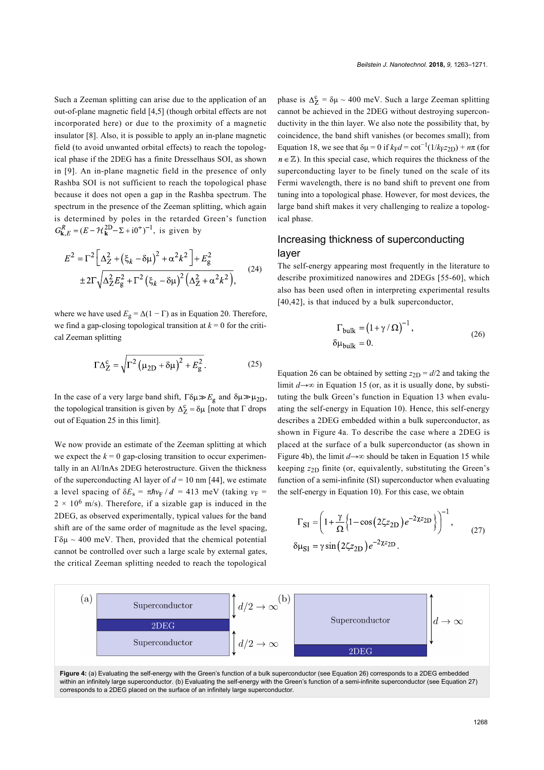Such a Zeeman splitting can arise due to the application of an out-of-plane magnetic field [\[4,5\]](#page-6-1) (though orbital effects are not incorporated here) or due to the proximity of a magnetic insulator [\[8\]](#page-6-2). Also, it is possible to apply an in-plane magnetic field (to avoid unwanted orbital effects) to reach the topological phase if the 2DEG has a finite Dresselhaus SOI, as shown in [\[9\]](#page-6-3). An in-plane magnetic field in the presence of only Rashba SOI is not sufficient to reach the topological phase because it does not open a gap in the Rashba spectrum. The spectrum in the presence of the Zeeman splitting, which again is determined by poles in the retarded Green's function  $G_{\mathbf{k},E}^{R} = (E - \mathcal{H}_{\mathbf{k}}^{2D} - \Sigma + i0^{+})^{-1}$ , is given by

$$
E^{2} = \Gamma^{2} \left[ \Delta_{Z}^{2} + (\xi_{k} - \delta\mu)^{2} + \alpha^{2} k^{2} \right] + E_{g}^{2}
$$
  
 
$$
\pm 2\Gamma \sqrt{\Delta_{Z}^{2} E_{g}^{2} + \Gamma^{2} (\xi_{k} - \delta\mu)^{2} (\Delta_{Z}^{2} + \alpha^{2} k^{2})},
$$
 (24)

where we have used  $E_g = \Delta(1 - \Gamma)$  as in [Equation 20.](#page-4-4) Therefore, we find a gap-closing topological transition at  $k = 0$  for the critical Zeeman splitting

<span id="page-5-2"></span>
$$
\Gamma \Delta_Z^c = \sqrt{\Gamma^2 \left(\mu_{2D} + \delta \mu\right)^2 + E_g^2}.
$$
 (25)

In the case of a very large band shift,  $\Gamma \delta \mu \gg E_{\rm g}$  and  $\delta \mu \gg \mu_{2D}$ , the topological transition is given by  $\Delta_Z^c = \delta \mu$  [note that  $\Gamma$  drops out of [Equation 25](#page-5-2) in this limit].

We now provide an estimate of the Zeeman splitting at which we expect the  $k = 0$  gap-closing transition to occur experimentally in an Al/InAs 2DEG heterostructure. Given the thickness of the superconducting Al layer of  $d = 10$  nm [\[44\]](#page-7-7), we estimate a level spacing of  $\delta E_s = \pi \hbar v_F / d = 413$  meV (taking  $v_F =$  $2 \times 10^6$  m/s). Therefore, if a sizable gap is induced in the 2DEG, as observed experimentally, typical values for the band shift are of the same order of magnitude as the level spacing, Γδμ ~ 400 meV. Then, provided that the chemical potential cannot be controlled over such a large scale by external gates, the critical Zeeman splitting needed to reach the topological

phase is  $\Delta_7^c = \delta \mu \sim 400$  meV. Such a large Zeeman splitting cannot be achieved in the 2DEG without destroying superconductivity in the thin layer. We also note the possibility that, by coincidence, the band shift vanishes (or becomes small); from [Equation 18](#page-4-1), we see that  $\delta \mu = 0$  if  $k_F d = \cot^{-1}(1/k_F z_{2D}) + n\pi$  (for  $n \in \mathbb{Z}$ ). In this special case, which requires the thickness of the superconducting layer to be finely tuned on the scale of its Fermi wavelength, there is no band shift to prevent one from tuning into a topological phase. However, for most devices, the large band shift makes it very challenging to realize a topological phase.

### Increasing thickness of superconducting layer

The self-energy appearing most frequently in the literature to describe proximitized nanowires and 2DEGs [\[55-60\]](#page-7-8), which also has been used often in interpreting experimental results [\[40,42\]](#page-7-9), is that induced by a bulk superconductor,

<span id="page-5-0"></span>
$$
\Gamma_{\text{bulk}} = (1 + \gamma / \Omega)^{-1},
$$
  
\n
$$
\delta \mu_{\text{bulk}} = 0.
$$
 (26)

[Equation 26](#page-5-0) can be obtained by setting  $z_{2D} = d/2$  and taking the limit *d*→∞ in [Equation 15](#page-3-1) (or, as it is usually done, by substituting the bulk Green's function in [Equation 13](#page-3-3) when evaluating the self-energy in [Equation 10\)](#page-2-3). Hence, this self-energy describes a 2DEG embedded within a bulk superconductor, as shown in [Figure 4a.](#page-5-3) To describe the case where a 2DEG is placed at the surface of a bulk superconductor (as shown in [Figure 4b](#page-5-3)), the limit  $d \rightarrow \infty$  should be taken in [Equation 15](#page-3-1) while keeping  $z_{2D}$  finite (or, equivalently, substituting the Green's function of a semi-infinite (SI) superconductor when evaluating the self-energy in [Equation 10\)](#page-2-3). For this case, we obtain

<span id="page-5-1"></span>
$$
\Gamma_{SI} = \left(1 + \frac{\gamma}{\Omega} \left\{1 - \cos\left(2\zeta z_{2D}\right)e^{-2\chi z_{2D}}\right\}\right)^{-1},\qquad(27)
$$

$$
\delta \mu_{SI} = \gamma \sin\left(2\zeta z_{2D}\right)e^{-2\chi z_{2D}}.
$$

<span id="page-5-3"></span>

within an infinitely large superconductor. (b) Evaluating the self-energy with the Green's function of a semi-infinite superconductor (see [Equation 27](#page-5-1)) corresponds to a 2DEG placed on the surface of an infinitely large superconductor.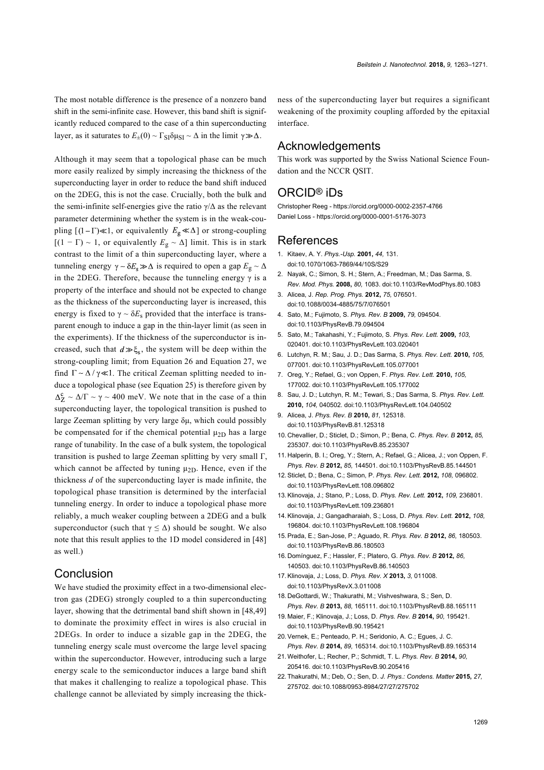The most notable difference is the presence of a nonzero band shift in the semi-infinite case. However, this band shift is significantly reduced compared to the case of a thin superconducting layer, as it saturates to  $E_{\pm}(0) \sim \Gamma_{\text{SI}} \delta \mu_{\text{SI}} \sim \Delta$  in the limit  $\gamma \gg \Delta$ .

Although it may seem that a topological phase can be much more easily realized by simply increasing the thickness of the superconducting layer in order to reduce the band shift induced on the 2DEG, this is not the case. Crucially, both the bulk and the semi-infinite self-energies give the ratio  $\gamma/\Delta$  as the relevant parameter determining whether the system is in the weak-coupling  $[(1 - \Gamma) \ll 1]$ , or equivalently  $E_g \ll \Delta$ ] or strong-coupling  $[(1 - \Gamma) \sim 1$ , or equivalently  $E_{\rm g} \sim \Delta]$  limit. This is in stark contrast to the limit of a thin superconducting layer, where a tunneling energy  $\gamma \sim \delta E_s \gg \Delta$  is required to open a gap  $E_g \sim \Delta$ in the 2DEG. Therefore, because the tunneling energy  $\gamma$  is a property of the interface and should not be expected to change as the thickness of the superconducting layer is increased, this energy is fixed to  $\gamma \sim \delta E_s$  provided that the interface is transparent enough to induce a gap in the thin-layer limit (as seen in the experiments). If the thickness of the superconductor is increased, such that  $d \gg \xi_s$ , the system will be deep within the strong-coupling limit; from [Equation 26](#page-5-0) and [Equation 27](#page-5-1), we find  $\Gamma \sim \Delta / \gamma \ll 1$ . The critical Zeeman splitting needed to induce a topological phase (see [Equation 25\)](#page-5-2) is therefore given by  $\Delta_Z^c \sim \Delta/\Gamma \sim \gamma \sim 400$  meV. We note that in the case of a thin superconducting layer, the topological transition is pushed to large Zeeman splitting by very large δμ, which could possibly be compensated for if the chemical potential  $\mu_{2D}$  has a large range of tunability. In the case of a bulk system, the topological transition is pushed to large Zeeman splitting by very small Γ, which cannot be affected by tuning  $\mu_{2D}$ . Hence, even if the thickness *d* of the superconducting layer is made infinite, the topological phase transition is determined by the interfacial tunneling energy. In order to induce a topological phase more reliably, a much weaker coupling between a 2DEG and a bulk superconductor (such that  $\gamma \leq \Delta$ ) should be sought. We also note that this result applies to the 1D model considered in [\[48\]](#page-7-4) as well.)

#### Conclusion

We have studied the proximity effect in a two-dimensional electron gas (2DEG) strongly coupled to a thin superconducting layer, showing that the detrimental band shift shown in [\[48,49\]](#page-7-4) to dominate the proximity effect in wires is also crucial in 2DEGs. In order to induce a sizable gap in the 2DEG, the tunneling energy scale must overcome the large level spacing within the superconductor. However, introducing such a large energy scale to the semiconductor induces a large band shift that makes it challenging to realize a topological phase. This challenge cannot be alleviated by simply increasing the thickness of the superconducting layer but requires a significant weakening of the proximity coupling afforded by the epitaxial interface.

#### Acknowledgements

This work was supported by the Swiss National Science Foundation and the NCCR QSIT.

#### ORCID® iDs

Christopher Reeg - <https://orcid.org/0000-0002-2357-4766> Daniel Loss -<https://orcid.org/0000-0001-5176-3073>

#### References

- <span id="page-6-0"></span>1. Kitaev, A. Y. *Phys.-Usp.* **2001,** *44,* 131. [doi:10.1070/1063-7869/44/10S/S29](https://doi.org/10.1070%2F1063-7869%2F44%2F10S%2FS29)
- 2. Nayak, C.; Simon, S. H.; Stern, A.; Freedman, M.; Das Sarma, S. *Rev. Mod. Phys.* **2008,** *80,* 1083. [doi:10.1103/RevModPhys.80.1083](https://doi.org/10.1103%2FRevModPhys.80.1083)
- 3. Alicea, J. *Rep. Prog. Phys.* **2012,** *75,* 076501. [doi:10.1088/0034-4885/75/7/076501](https://doi.org/10.1088%2F0034-4885%2F75%2F7%2F076501)
- <span id="page-6-1"></span>4. Sato, M.; Fujimoto, S. *Phys. Rev. B* **2009,** *79,* 094504. [doi:10.1103/PhysRevB.79.094504](https://doi.org/10.1103%2FPhysRevB.79.094504)
- 5. Sato, M.; Takahashi, Y.; Fujimoto, S. *Phys. Rev. Lett.* **2009,** *103,* 020401. [doi:10.1103/PhysRevLett.103.020401](https://doi.org/10.1103%2FPhysRevLett.103.020401)
- 6. Lutchyn, R. M.; Sau, J. D.; Das Sarma, S. *Phys. Rev. Lett.* **2010,** *105,* 077001. [doi:10.1103/PhysRevLett.105.077001](https://doi.org/10.1103%2FPhysRevLett.105.077001)
- 7. Oreg, Y.; Refael, G.; von Oppen, F. *Phys. Rev. Lett.* **2010,** *105,* 177002. [doi:10.1103/PhysRevLett.105.177002](https://doi.org/10.1103%2FPhysRevLett.105.177002)
- <span id="page-6-2"></span>8. Sau, J. D.; Lutchyn, R. M.; Tewari, S.; Das Sarma, S. *Phys. Rev. Lett.* **2010,** *104,* 040502. [doi:10.1103/PhysRevLett.104.040502](https://doi.org/10.1103%2FPhysRevLett.104.040502)
- <span id="page-6-3"></span>9. Alicea, J. *Phys. Rev. B* **2010,** *81,* 125318. [doi:10.1103/PhysRevB.81.125318](https://doi.org/10.1103%2FPhysRevB.81.125318)
- 10. Chevallier, D.; Sticlet, D.; Simon, P.; Bena, C. *Phys. Rev. B* **2012,** *85,* 235307. [doi:10.1103/PhysRevB.85.235307](https://doi.org/10.1103%2FPhysRevB.85.235307)
- 11. Halperin, B. I.; Oreg, Y.; Stern, A.; Refael, G.; Alicea, J.; von Oppen, F. *Phys. Rev. B* **2012,** *85,* 144501. [doi:10.1103/PhysRevB.85.144501](https://doi.org/10.1103%2FPhysRevB.85.144501)
- 12.Sticlet, D.; Bena, C.; Simon, P. *Phys. Rev. Lett.* **2012,** *108,* 096802. [doi:10.1103/PhysRevLett.108.096802](https://doi.org/10.1103%2FPhysRevLett.108.096802)
- 13.Klinovaja, J.; Stano, P.; Loss, D. *Phys. Rev. Lett.* **2012,** *109,* 236801. [doi:10.1103/PhysRevLett.109.236801](https://doi.org/10.1103%2FPhysRevLett.109.236801)
- 14.Klinovaja, J.; Gangadharaiah, S.; Loss, D. *Phys. Rev. Lett.* **2012,** *108,* 196804. [doi:10.1103/PhysRevLett.108.196804](https://doi.org/10.1103%2FPhysRevLett.108.196804)
- 15.Prada, E.; San-Jose, P.; Aguado, R. *Phys. Rev. B* **2012,** *86,* 180503. [doi:10.1103/PhysRevB.86.180503](https://doi.org/10.1103%2FPhysRevB.86.180503)
- 16. Domínguez, F.; Hassler, F.; Platero, G. *Phys. Rev. B* **2012,** *86,* 140503. [doi:10.1103/PhysRevB.86.140503](https://doi.org/10.1103%2FPhysRevB.86.140503)
- 17.Klinovaja, J.; Loss, D. *Phys. Rev. X* **2013,** *3,* 011008. [doi:10.1103/PhysRevX.3.011008](https://doi.org/10.1103%2FPhysRevX.3.011008)
- 18. DeGottardi, W.; Thakurathi, M.; Vishveshwara, S.; Sen, D. *Phys. Rev. B* **2013,** *88,* 165111. [doi:10.1103/PhysRevB.88.165111](https://doi.org/10.1103%2FPhysRevB.88.165111)
- 19. Maier, F.; Klinovaja, J.; Loss, D. *Phys. Rev. B* **2014,** *90,* 195421. [doi:10.1103/PhysRevB.90.195421](https://doi.org/10.1103%2FPhysRevB.90.195421)
- 20.Vernek, E.; Penteado, P. H.; Seridonio, A. C.; Egues, J. C. *Phys. Rev. B* **2014,** *89,* 165314. [doi:10.1103/PhysRevB.89.165314](https://doi.org/10.1103%2FPhysRevB.89.165314)
- 21.Weithofer, L.; Recher, P.; Schmidt, T. L. *Phys. Rev. B* **2014,** *90,* 205416. [doi:10.1103/PhysRevB.90.205416](https://doi.org/10.1103%2FPhysRevB.90.205416)
- 22.Thakurathi, M.; Deb, O.; Sen, D. *J. Phys.: Condens. Matter* **2015,** *27,* 275702. [doi:10.1088/0953-8984/27/27/275702](https://doi.org/10.1088%2F0953-8984%2F27%2F27%2F275702)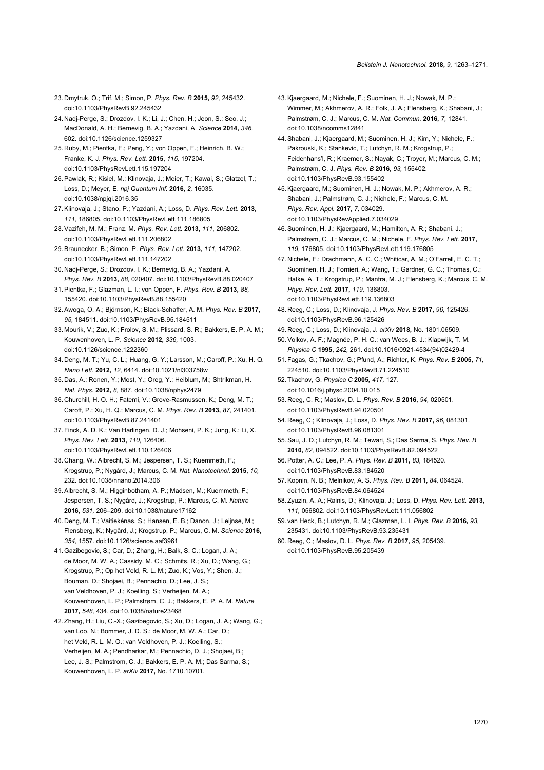- 23. Dmytruk, O.; Trif, M.; Simon, P. *Phys. Rev. B* **2015,** *92,* 245432. [doi:10.1103/PhysRevB.92.245432](https://doi.org/10.1103%2FPhysRevB.92.245432)
- <span id="page-7-0"></span>24. Nadj-Perge, S.; Drozdov, I. K.; Li, J.; Chen, H.; Jeon, S.; Seo, J.; MacDonald, A. H.; Bernevig, B. A.; Yazdani, A. *Science* **2014,** *346,* 602. [doi:10.1126/science.1259327](https://doi.org/10.1126%2Fscience.1259327)
- 25. Ruby, M.; Pientka, F.; Peng, Y.; von Oppen, F.; Heinrich, B. W.; Franke, K. J. *Phys. Rev. Lett.* **2015,** *115,* 197204. [doi:10.1103/PhysRevLett.115.197204](https://doi.org/10.1103%2FPhysRevLett.115.197204)
- 26.Pawlak, R.; Kisiel, M.; Klinovaja, J.; Meier, T.; Kawai, S.; Glatzel, T.; Loss, D.; Meyer, E. *npj Quantum Inf.* **2016,** *2,* 16035. [doi:10.1038/npjqi.2016.35](https://doi.org/10.1038%2Fnpjqi.2016.35)
- 27.Klinovaja, J.; Stano, P.; Yazdani, A.; Loss, D. *Phys. Rev. Lett.* **2013,** *111,* 186805. [doi:10.1103/PhysRevLett.111.186805](https://doi.org/10.1103%2FPhysRevLett.111.186805)
- 28.Vazifeh, M. M.; Franz, M. *Phys. Rev. Lett.* **2013,** *111,* 206802. [doi:10.1103/PhysRevLett.111.206802](https://doi.org/10.1103%2FPhysRevLett.111.206802)
- 29.Braunecker, B.; Simon, P. *Phys. Rev. Lett.* **2013,** *111,* 147202. [doi:10.1103/PhysRevLett.111.147202](https://doi.org/10.1103%2FPhysRevLett.111.147202)
- 30. Nadj-Perge, S.; Drozdov, I. K.; Bernevig, B. A.; Yazdani, A. *Phys. Rev. B* **2013,** *88,* 020407. [doi:10.1103/PhysRevB.88.020407](https://doi.org/10.1103%2FPhysRevB.88.020407)
- 31.Pientka, F.; Glazman, L. I.; von Oppen, F. *Phys. Rev. B* **2013,** *88,* 155420. [doi:10.1103/PhysRevB.88.155420](https://doi.org/10.1103%2FPhysRevB.88.155420)
- 32.Awoga, O. A.; Björnson, K.; Black-Schaffer, A. M. *Phys. Rev. B* **2017,** *95,* 184511. [doi:10.1103/PhysRevB.95.184511](https://doi.org/10.1103%2FPhysRevB.95.184511)
- <span id="page-7-1"></span>33. Mourik, V.; Zuo, K.; Frolov, S. M.; Plissard, S. R.; Bakkers, E. P. A. M.; Kouwenhoven, L. P. *Science* **2012,** *336,* 1003. [doi:10.1126/science.1222360](https://doi.org/10.1126%2Fscience.1222360)
- 34. Deng, M. T.; Yu, C. L.; Huang, G. Y.; Larsson, M.; Caroff, P.; Xu, H. Q. *Nano Lett.* **2012,** *12,* 6414. [doi:10.1021/nl303758w](https://doi.org/10.1021%2Fnl303758w)
- 35. Das, A.; Ronen, Y.; Most, Y.; Oreg, Y.; Heiblum, M.; Shtrikman, H. *Nat. Phys.* **2012,** *8,* 887. [doi:10.1038/nphys2479](https://doi.org/10.1038%2Fnphys2479)
- 36. Churchill, H. O. H.; Fatemi, V.; Grove-Rasmussen, K.; Deng, M. T.; Caroff, P.; Xu, H. Q.; Marcus, C. M. *Phys. Rev. B* **2013,** *87,* 241401. [doi:10.1103/PhysRevB.87.241401](https://doi.org/10.1103%2FPhysRevB.87.241401)
- 37.Finck, A. D. K.; Van Harlingen, D. J.; Mohseni, P. K.; Jung, K.; Li, X. *Phys. Rev. Lett.* **2013,** *110,* 126406. [doi:10.1103/PhysRevLett.110.126406](https://doi.org/10.1103%2FPhysRevLett.110.126406)
- <span id="page-7-2"></span>38. Chang, W.; Albrecht, S. M.; Jespersen, T. S.; Kuemmeth, F.; Krogstrup, P.; Nygård, J.; Marcus, C. M. *Nat. Nanotechnol.* **2015,** *10,* 232. [doi:10.1038/nnano.2014.306](https://doi.org/10.1038%2Fnnano.2014.306)
- 39.Albrecht, S. M.; Higginbotham, A. P.; Madsen, M.; Kuemmeth, F.; Jespersen, T. S.; Nygård, J.; Krogstrup, P.; Marcus, C. M. *Nature* **2016,** *531,* 206–209. [doi:10.1038/nature17162](https://doi.org/10.1038%2Fnature17162)
- <span id="page-7-9"></span>40. Deng, M. T.; Vaitiekėnas, S.; Hansen, E. B.; Danon, J.; Leijnse, M.; Flensberg, K.; Nygård, J.; Krogstrup, P.; Marcus, C. M. *Science* **2016,** *354,* 1557. [doi:10.1126/science.aaf3961](https://doi.org/10.1126%2Fscience.aaf3961)
- 41.Gazibegovic, S.; Car, D.; Zhang, H.; Balk, S. C.; Logan, J. A.; de Moor, M. W. A.; Cassidy, M. C.; Schmits, R.; Xu, D.; Wang, G.; Krogstrup, P.; Op het Veld, R. L. M.; Zuo, K.; Vos, Y.; Shen, J.; Bouman, D.; Shojaei, B.; Pennachio, D.; Lee, J. S.; van Veldhoven, P. J.; Koelling, S.; Verheijen, M. A.; Kouwenhoven, L. P.; Palmstrøm, C. J.; Bakkers, E. P. A. M. *Nature* **2017,** *548,* 434. [doi:10.1038/nature23468](https://doi.org/10.1038%2Fnature23468)
- 42.Zhang, H.; Liu, C.-X.; Gazibegovic, S.; Xu, D.; Logan, J. A.; Wang, G.; van Loo, N.; Bommer, J. D. S.; de Moor, M. W. A.; Car, D.; het Veld, R. L. M. O.; van Veldhoven, P. J.; Koelling, S.; Verheijen, M. A.; Pendharkar, M.; Pennachio, D. J.; Shojaei, B.; Lee, J. S.; Palmstrom, C. J.; Bakkers, E. P. A. M.; Das Sarma, S.; Kouwenhoven, L. P. *arXiv* **2017,** No. 1710.10701.
- <span id="page-7-3"></span>43. Kiaergaard, M.; Nichele, F.; Suominen, H. J.; Nowak, M. P.; Wimmer, M.; Akhmerov, A. R.; Folk, J. A.; Flensberg, K.; Shabani, J.; Palmstrøm, C. J.; Marcus, C. M. *Nat. Commun.* **2016,** *7,* 12841. [doi:10.1038/ncomms12841](https://doi.org/10.1038%2Fncomms12841)
- <span id="page-7-7"></span>44.Shabani, J.; Kjaergaard, M.; Suominen, H. J.; Kim, Y.; Nichele, F.; Pakrouski, K.; Stankevic, T.; Lutchyn, R. M.; Krogstrup, P.; Feidenhans'l, R.; Kraemer, S.; Nayak, C.; Troyer, M.; Marcus, C. M.; Palmstrøm, C. J. *Phys. Rev. B* **2016,** *93,* 155402. [doi:10.1103/PhysRevB.93.155402](https://doi.org/10.1103%2FPhysRevB.93.155402)
- 45.Kjaergaard, M.; Suominen, H. J.; Nowak, M. P.; Akhmerov, A. R.; Shabani, J.; Palmstrøm, C. J.; Nichele, F.; Marcus, C. M. *Phys. Rev. Appl.* **2017,** *7,* 034029. [doi:10.1103/PhysRevApplied.7.034029](https://doi.org/10.1103%2FPhysRevApplied.7.034029)
- 46.Suominen, H. J.; Kjaergaard, M.; Hamilton, A. R.; Shabani, J.; Palmstrøm, C. J.; Marcus, C. M.; Nichele, F. *Phys. Rev. Lett.* **2017,** *119,* 176805. [doi:10.1103/PhysRevLett.119.176805](https://doi.org/10.1103%2FPhysRevLett.119.176805)
- 47. Nichele, F.; Drachmann, A. C. C.; Whiticar, A. M.; O'Farrell, E. C. T.; Suominen, H. J.; Fornieri, A.; Wang, T.; Gardner, G. C.; Thomas, C.; Hatke, A. T.; Krogstrup, P.; Manfra, M. J.; Flensberg, K.; Marcus, C. M. *Phys. Rev. Lett.* **2017,** *119,* 136803. [doi:10.1103/PhysRevLett.119.136803](https://doi.org/10.1103%2FPhysRevLett.119.136803)
- <span id="page-7-4"></span>48. Reeg, C.; Loss, D.; Klinovaja, J. *Phys. Rev. B* **2017,** *96,* 125426. [doi:10.1103/PhysRevB.96.125426](https://doi.org/10.1103%2FPhysRevB.96.125426)
- <span id="page-7-5"></span>49. Reeg, C.; Loss, D.; Klinovaja, J. *arXiv* **2018,** No. 1801.06509.
- <span id="page-7-6"></span>50.Volkov, A. F.; Magnée, P. H. C.; van Wees, B. J.; Klapwijk, T. M. *Physica C* **1995,** *242,* 261. [doi:10.1016/0921-4534\(94\)02429-4](https://doi.org/10.1016%2F0921-4534%2894%2902429-4)
- 51.Fagas, G.; Tkachov, G.; Pfund, A.; Richter, K. *Phys. Rev. B* **2005,** *71,* 224510. [doi:10.1103/PhysRevB.71.224510](https://doi.org/10.1103%2FPhysRevB.71.224510)
- 52.Tkachov, G. *Physica C* **2005,** *417,* 127. [doi:10.1016/j.physc.2004.10.015](https://doi.org/10.1016%2Fj.physc.2004.10.015)
- 53. Reeg, C. R.; Maslov, D. L. *Phys. Rev. B* **2016,** *94,* 020501. [doi:10.1103/PhysRevB.94.020501](https://doi.org/10.1103%2FPhysRevB.94.020501)
- 54. Reeg, C.; Klinovaja, J.; Loss, D. *Phys. Rev. B* **2017,** *96,* 081301. [doi:10.1103/PhysRevB.96.081301](https://doi.org/10.1103%2FPhysRevB.96.081301)
- <span id="page-7-8"></span>55.Sau, J. D.; Lutchyn, R. M.; Tewari, S.; Das Sarma, S. *Phys. Rev. B* **2010,** *82,* 094522. [doi:10.1103/PhysRevB.82.094522](https://doi.org/10.1103%2FPhysRevB.82.094522)
- 56.Potter, A. C.; Lee, P. A. *Phys. Rev. B* **2011,** *83,* 184520. [doi:10.1103/PhysRevB.83.184520](https://doi.org/10.1103%2FPhysRevB.83.184520)
- 57.Kopnin, N. B.; Melnikov, A. S. *Phys. Rev. B* **2011,** *84,* 064524. [doi:10.1103/PhysRevB.84.064524](https://doi.org/10.1103%2FPhysRevB.84.064524)
- 58.Zyuzin, A. A.; Rainis, D.; Klinovaja, J.; Loss, D. *Phys. Rev. Lett.* **2013,** *111,* 056802. [doi:10.1103/PhysRevLett.111.056802](https://doi.org/10.1103%2FPhysRevLett.111.056802)
- 59. van Heck, B.; Lutchyn, R. M.; Glazman, L. I. *Phys. Rev. B* **2016,** *93,* 235431. [doi:10.1103/PhysRevB.93.235431](https://doi.org/10.1103%2FPhysRevB.93.235431)
- 60. Reeg, C.; Maslov, D. L. *Phys. Rev. B* **2017,** *95,* 205439. [doi:10.1103/PhysRevB.95.205439](https://doi.org/10.1103%2FPhysRevB.95.205439)